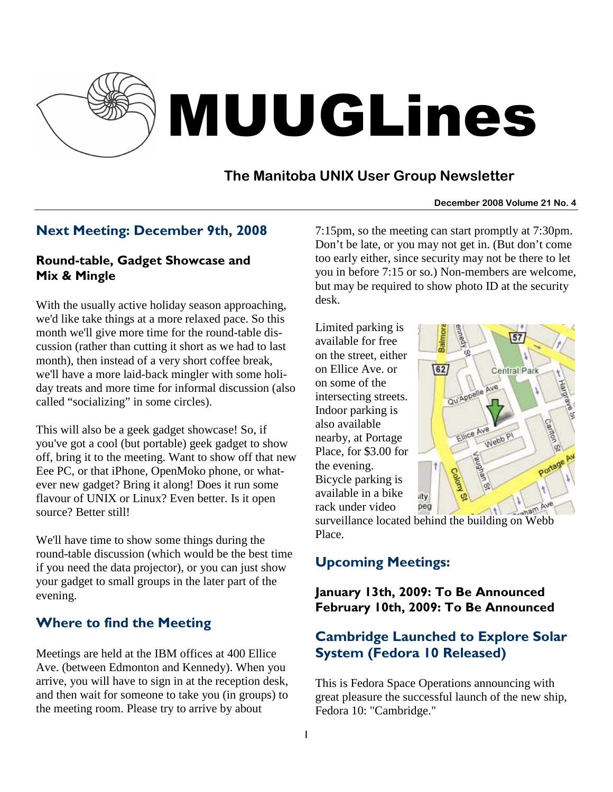

# MUUGLines

# **The Manitoba UNIX User Group Newsletter**

#### **December 2008 Volume 21 No. 4**

## Next Meeting: December 9th, 2008

#### Round-table, Gadget Showcase and Mix & Mingle

With the usually active holiday season approaching, we'd like take things at a more relaxed pace. So this month we'll give more time for the round-table discussion (rather than cutting it short as we had to last month), then instead of a very short coffee break, we'll have a more laid-back mingler with some holiday treats and more time for informal discussion (also called "socializing" in some circles).

This will also be a geek gadget showcase! So, if you've got a cool (but portable) geek gadget to show off, bring it to the meeting. Want to show off that new Eee PC, or that iPhone, OpenMoko phone, or whatever new gadget? Bring it along! Does it run some flavour of UNIX or Linux? Even better. Is it open source? Better still!

We'll have time to show some things during the round-table discussion (which would be the best time if you need the data projector), or you can just show your gadget to small groups in the later part of the evening.

## Where to find the Meeting

Meetings are held at the IBM offices at 400 Ellice Ave. (between Edmonton and Kennedy). When you arrive, you will have to sign in at the reception desk, and then wait for someone to take you (in groups) to the meeting room. Please try to arrive by about

7:15pm, so the meeting can start promptly at 7:30pm. Don't be late, or you may not get in. (But don't come too early either, since security may not be there to let you in before 7:15 or so.) Non-members are welcome, but may be required to show photo ID at the security desk.

Limited parking is available for free on the street, either on Ellice Ave. or on some of the intersecting streets. Indoor parking is also available nearby, at Portage Place, for \$3.00 for the evening. Bicycle parking is available in a bike rack under video



surveillance located behind the building on Webb Place.

## Upcoming Meetings:

#### January 13th, 2009: To Be Announced February 10th, 2009: To Be Announced

## Cambridge Launched to Explore Solar System (Fedora 10 Released)

This is Fedora Space Operations announcing with great pleasure the successful launch of the new ship, Fedora 10: "Cambridge."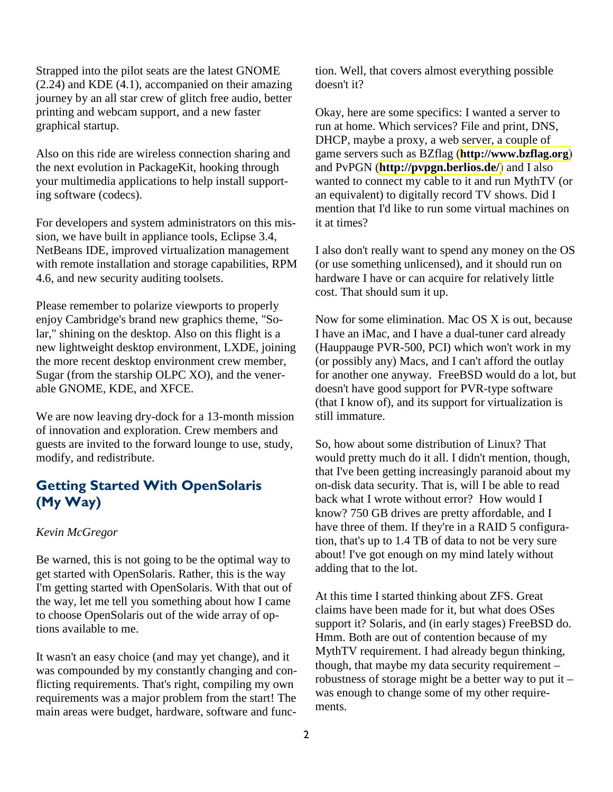Strapped into the pilot seats are the latest GNOME (2.24) and KDE (4.1), accompanied on their amazing journey by an all star crew of glitch free audio, better printing and webcam support, and a new faster graphical startup.

Also on this ride are wireless connection sharing and the next evolution in PackageKit, hooking through your multimedia applications to help install supporting software (codecs).

For developers and system administrators on this mission, we have built in appliance tools, Eclipse 3.4, NetBeans IDE, improved virtualization management with remote installation and storage capabilities, RPM 4.6, and new security auditing toolsets.

Please remember to polarize viewports to properly enjoy Cambridge's brand new graphics theme, "Solar," shining on the desktop. Also on this flight is a new lightweight desktop environment, LXDE, joining the more recent desktop environment crew member, Sugar (from the starship OLPC XO), and the venerable GNOME, KDE, and XFCE.

We are now leaving dry-dock for a 13-month mission of innovation and exploration. Crew members and guests are invited to the forward lounge to use, study, modify, and redistribute.

### Getting Started With OpenSolaris (My Way)

#### *Kevin McGregor*

Be warned, this is not going to be the optimal way to get started with OpenSolaris. Rather, this is the way I'm getting started with OpenSolaris. With that out of the way, let me tell you something about how I came to choose OpenSolaris out of the wide array of options available to me.

It wasn't an easy choice (and may yet change), and it was compounded by my constantly changing and conflicting requirements. That's right, compiling my own requirements was a major problem from the start! The main areas were budget, hardware, software and function. Well, that covers almost everything possible doesn't it?

Okay, here are some specifics: I wanted a server to run at home. Which services? File and print, DNS, DHCP, maybe a proxy, a web server, a couple of game servers such as BZflag (**[http://www.bzflag.org](http://www.bzflag.org/)**) and PvPGN (**<http://pvpgn.berlios.de/>**) and I also wanted to connect my cable to it and run MythTV (or an equivalent) to digitally record TV shows. Did I mention that I'd like to run some virtual machines on it at times?

I also don't really want to spend any money on the OS (or use something unlicensed), and it should run on hardware I have or can acquire for relatively little cost. That should sum it up.

Now for some elimination. Mac OS X is out, because I have an iMac, and I have a dual-tuner card already (Hauppauge PVR-500, PCI) which won't work in my (or possibly any) Macs, and I can't afford the outlay for another one anyway. FreeBSD would do a lot, but doesn't have good support for PVR-type software (that I know of), and its support for virtualization is still immature.

So, how about some distribution of Linux? That would pretty much do it all. I didn't mention, though, that I've been getting increasingly paranoid about my on-disk data security. That is, will I be able to read back what I wrote without error? How would I know? 750 GB drives are pretty affordable, and I have three of them. If they're in a RAID 5 configuration, that's up to 1.4 TB of data to not be very sure about! I've got enough on my mind lately without adding that to the lot.

At this time I started thinking about ZFS. Great claims have been made for it, but what does OSes support it? Solaris, and (in early stages) FreeBSD do. Hmm. Both are out of contention because of my MythTV requirement. I had already begun thinking, though, that maybe my data security requirement – robustness of storage might be a better way to put it – was enough to change some of my other requirements.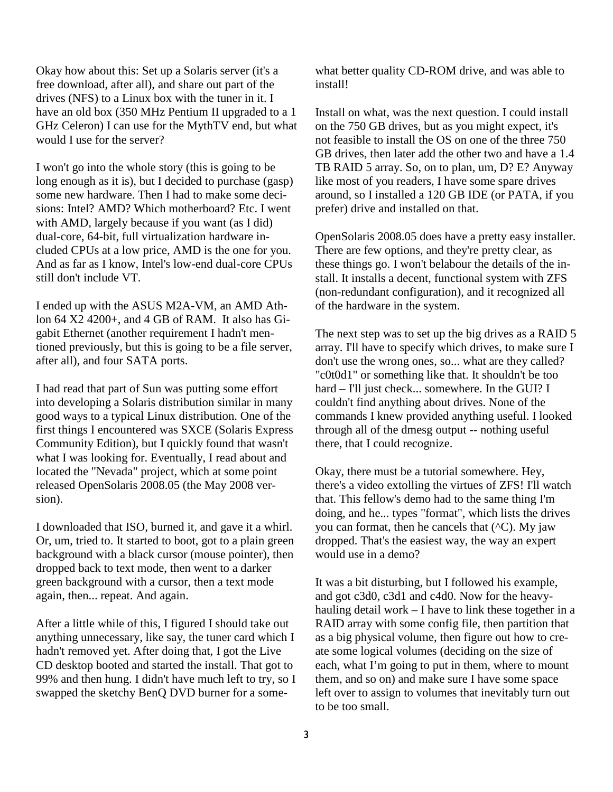Okay how about this: Set up a Solaris server (it's a free download, after all), and share out part of the drives (NFS) to a Linux box with the tuner in it. I have an old box (350 MHz Pentium II upgraded to a 1 GHz Celeron) I can use for the MythTV end, but what would I use for the server?

I won't go into the whole story (this is going to be long enough as it is), but I decided to purchase (gasp) some new hardware. Then I had to make some decisions: Intel? AMD? Which motherboard? Etc. I went with AMD, largely because if you want (as I did) dual-core, 64-bit, full virtualization hardware included CPUs at a low price, AMD is the one for you. And as far as I know, Intel's low-end dual-core CPUs still don't include VT.

I ended up with the ASUS M2A-VM, an AMD Athlon 64 X2 4200+, and 4 GB of RAM. It also has Gigabit Ethernet (another requirement I hadn't mentioned previously, but this is going to be a file server, after all), and four SATA ports.

I had read that part of Sun was putting some effort into developing a Solaris distribution similar in many good ways to a typical Linux distribution. One of the first things I encountered was SXCE (Solaris Express Community Edition), but I quickly found that wasn't what I was looking for. Eventually, I read about and located the "Nevada" project, which at some point released OpenSolaris 2008.05 (the May 2008 version).

I downloaded that ISO, burned it, and gave it a whirl. Or, um, tried to. It started to boot, got to a plain green background with a black cursor (mouse pointer), then dropped back to text mode, then went to a darker green background with a cursor, then a text mode again, then... repeat. And again.

After a little while of this, I figured I should take out anything unnecessary, like say, the tuner card which I hadn't removed yet. After doing that, I got the Live CD desktop booted and started the install. That got to 99% and then hung. I didn't have much left to try, so I swapped the sketchy BenQ DVD burner for a somewhat better quality CD-ROM drive, and was able to install!

Install on what, was the next question. I could install on the 750 GB drives, but as you might expect, it's not feasible to install the OS on one of the three 750 GB drives, then later add the other two and have a 1.4 TB RAID 5 array. So, on to plan, um, D? E? Anyway like most of you readers, I have some spare drives around, so I installed a 120 GB IDE (or PATA, if you prefer) drive and installed on that.

OpenSolaris 2008.05 does have a pretty easy installer. There are few options, and they're pretty clear, as these things go. I won't belabour the details of the install. It installs a decent, functional system with ZFS (non-redundant configuration), and it recognized all of the hardware in the system.

The next step was to set up the big drives as a RAID 5 array. I'll have to specify which drives, to make sure I don't use the wrong ones, so... what are they called? "c0t0d1" or something like that. It shouldn't be too hard – I'll just check... somewhere. In the GUI? I couldn't find anything about drives. None of the commands I knew provided anything useful. I looked through all of the dmesg output -- nothing useful there, that I could recognize.

Okay, there must be a tutorial somewhere. Hey, there's a video extolling the virtues of ZFS! I'll watch that. This fellow's demo had to the same thing I'm doing, and he... types "format", which lists the drives you can format, then he cancels that (^C). My jaw dropped. That's the easiest way, the way an expert would use in a demo?

It was a bit disturbing, but I followed his example, and got c3d0, c3d1 and c4d0. Now for the heavyhauling detail work – I have to link these together in a RAID array with some config file, then partition that as a big physical volume, then figure out how to create some logical volumes (deciding on the size of each, what I'm going to put in them, where to mount them, and so on) and make sure I have some space left over to assign to volumes that inevitably turn out to be too small.